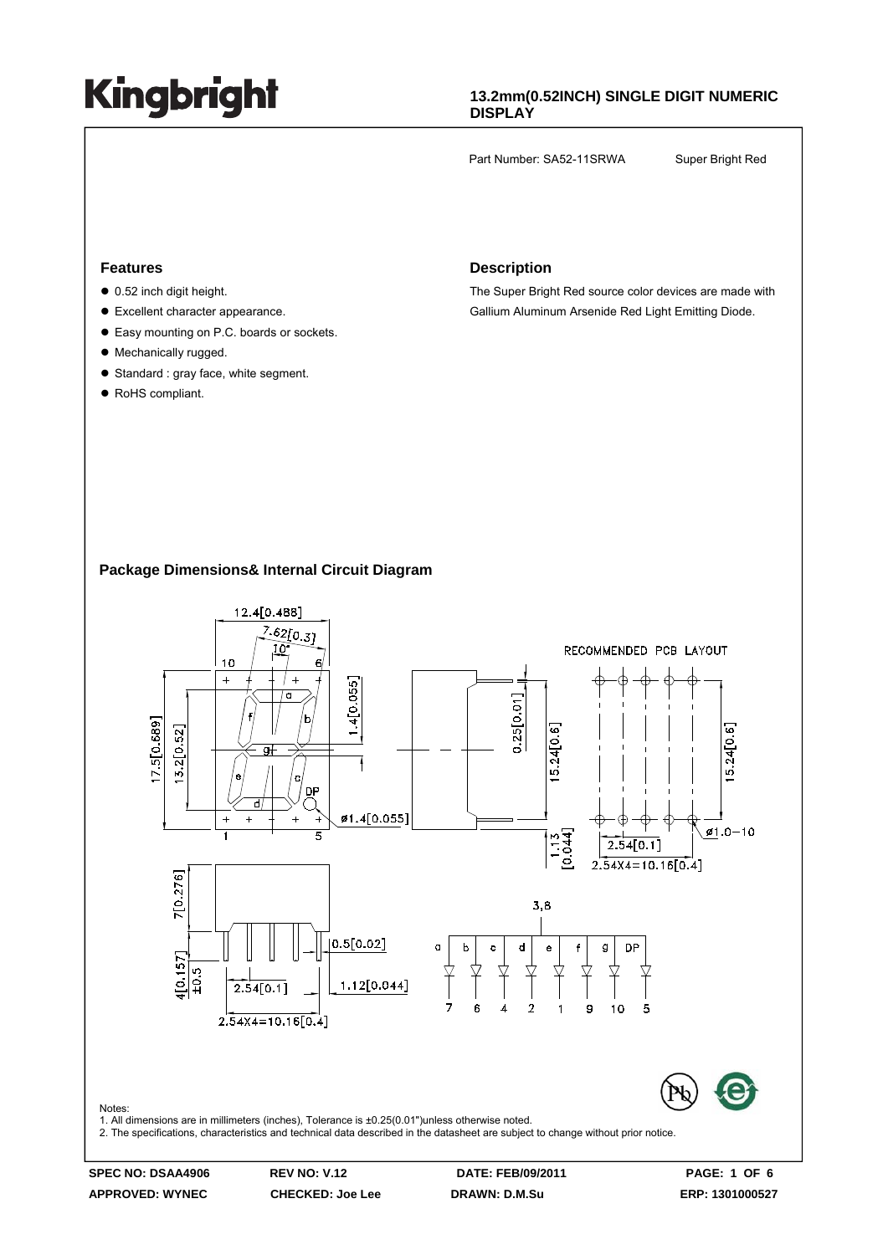#### **13.2mm(0.52INCH) SINGLE DIGIT NUMERIC DISPLAY**

Part Number: SA52-11SRWA Super Bright Red

#### **Features**

- $\bullet$  0.52 inch digit height.
- Excellent character appearance.
- Easy mounting on P.C. boards or sockets.
- Mechanically rugged.
- Standard : gray face, white segment.
- RoHS compliant.

#### **Description**

The Super Bright Red source color devices are made with Gallium Aluminum Arsenide Red Light Emitting Diode.

#### **Package Dimensions& Internal Circuit Diagram**



**APPROVED: WYNEC CHECKED: Joe Lee DRAWN: D.M.Su ERP: 1301000527**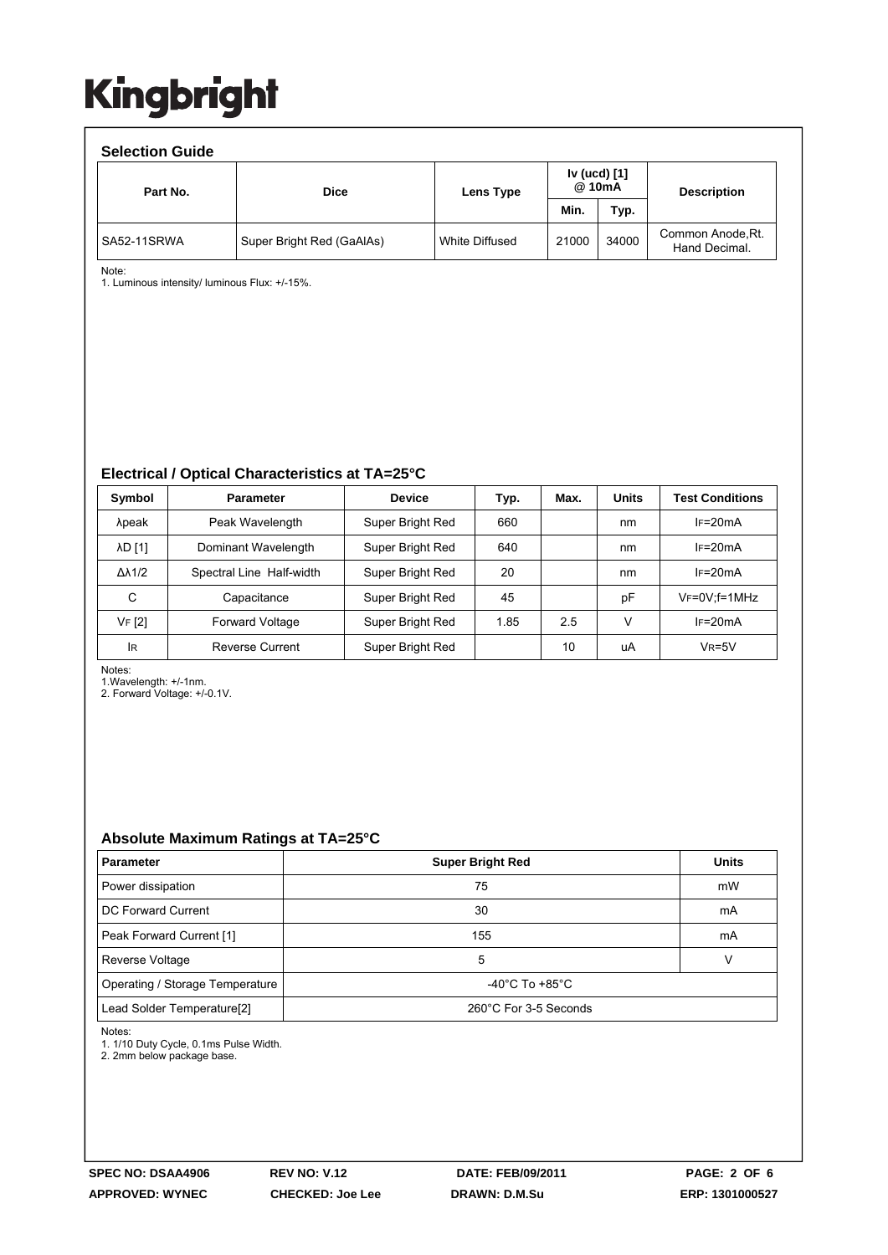| <b>Selection Guide</b> |                           |                |                        |       |                                    |  |  |  |  |  |
|------------------------|---------------------------|----------------|------------------------|-------|------------------------------------|--|--|--|--|--|
| Part No.               | <b>Dice</b>               | Lens Type      | Iv (ucd) [1]<br>@ 10mA |       | <b>Description</b>                 |  |  |  |  |  |
|                        |                           |                | Min.                   | Typ.  |                                    |  |  |  |  |  |
| SA52-11SRWA            | Super Bright Red (GaAlAs) | White Diffused | 21000                  | 34000 | Common Anode, Rt.<br>Hand Decimal. |  |  |  |  |  |

Note:

1. Luminous intensity/ luminous Flux: +/-15%.

**Electrical / Optical Characteristics at TA=25°C** 

| Symbol              | <b>Parameter</b>         | <b>Device</b>    | Typ. | Max. | <b>Units</b> | <b>Test Conditions</b> |
|---------------------|--------------------------|------------------|------|------|--------------|------------------------|
| λpeak               | Peak Wavelength          | Super Bright Red | 660  |      | nm           | $IF=20mA$              |
| λD [1]              | Dominant Wavelength      | Super Bright Red | 640  |      | nm           | $IF=20mA$              |
| $\Delta\lambda$ 1/2 | Spectral Line Half-width | Super Bright Red | 20   |      | nm           | $IF=20mA$              |
| С                   | Capacitance              | Super Bright Red | 45   |      | рF           | $V_F = 0V$ : f = 1 MHz |
| VF [2]              | Forward Voltage          | Super Bright Red | 1.85 | 2.5  | ν            | $IF=20mA$              |
| lR                  | Reverse Current          | Super Bright Red |      | 10   | uA           | $V_R = 5V$             |

Notes:

1.Wavelength: +/-1nm.

2. Forward Voltage: +/-0.1V.

#### **Absolute Maximum Ratings at TA=25°C**

| <b>Parameter</b>                       | <b>Super Bright Red</b> | <b>Units</b> |  |
|----------------------------------------|-------------------------|--------------|--|
| Power dissipation                      | 75                      | mW           |  |
| DC Forward Current                     | 30                      | mA           |  |
| Peak Forward Current [1]               | 155                     | mA           |  |
| Reverse Voltage                        | 5                       |              |  |
| Operating / Storage Temperature        | -40°C To +85°C          |              |  |
| Lead Solder Temperature <sup>[2]</sup> | 260°C For 3-5 Seconds   |              |  |

Notes:

1. 1/10 Duty Cycle, 0.1ms Pulse Width.

2. 2mm below package base.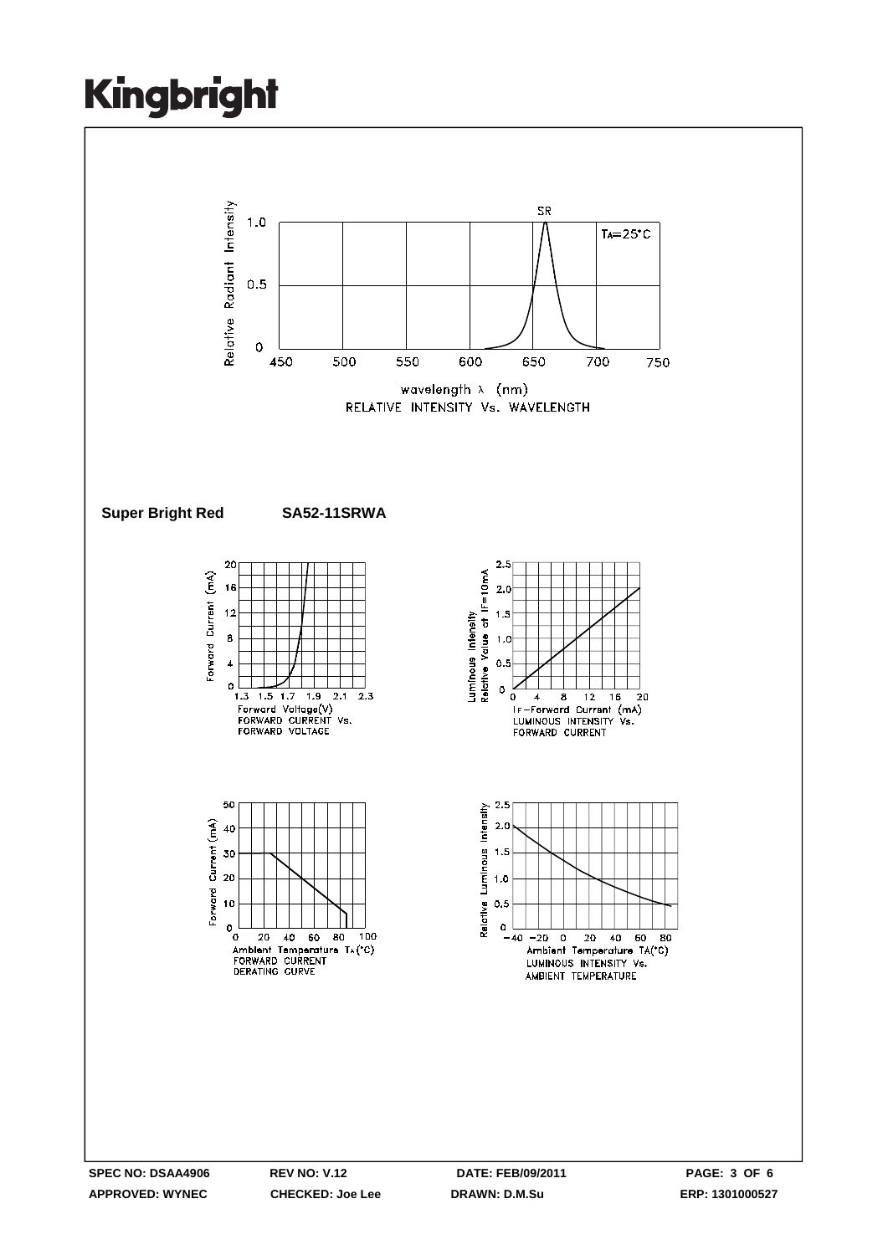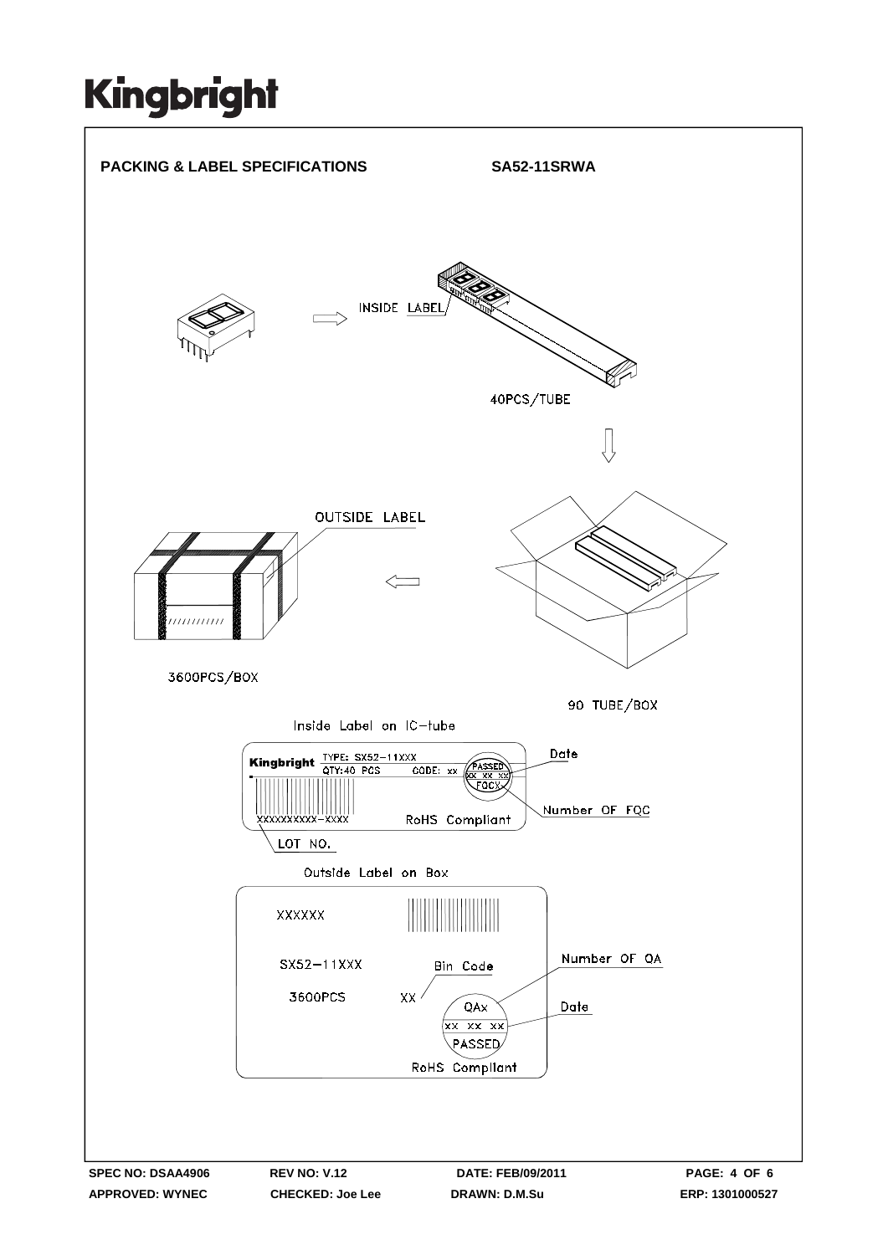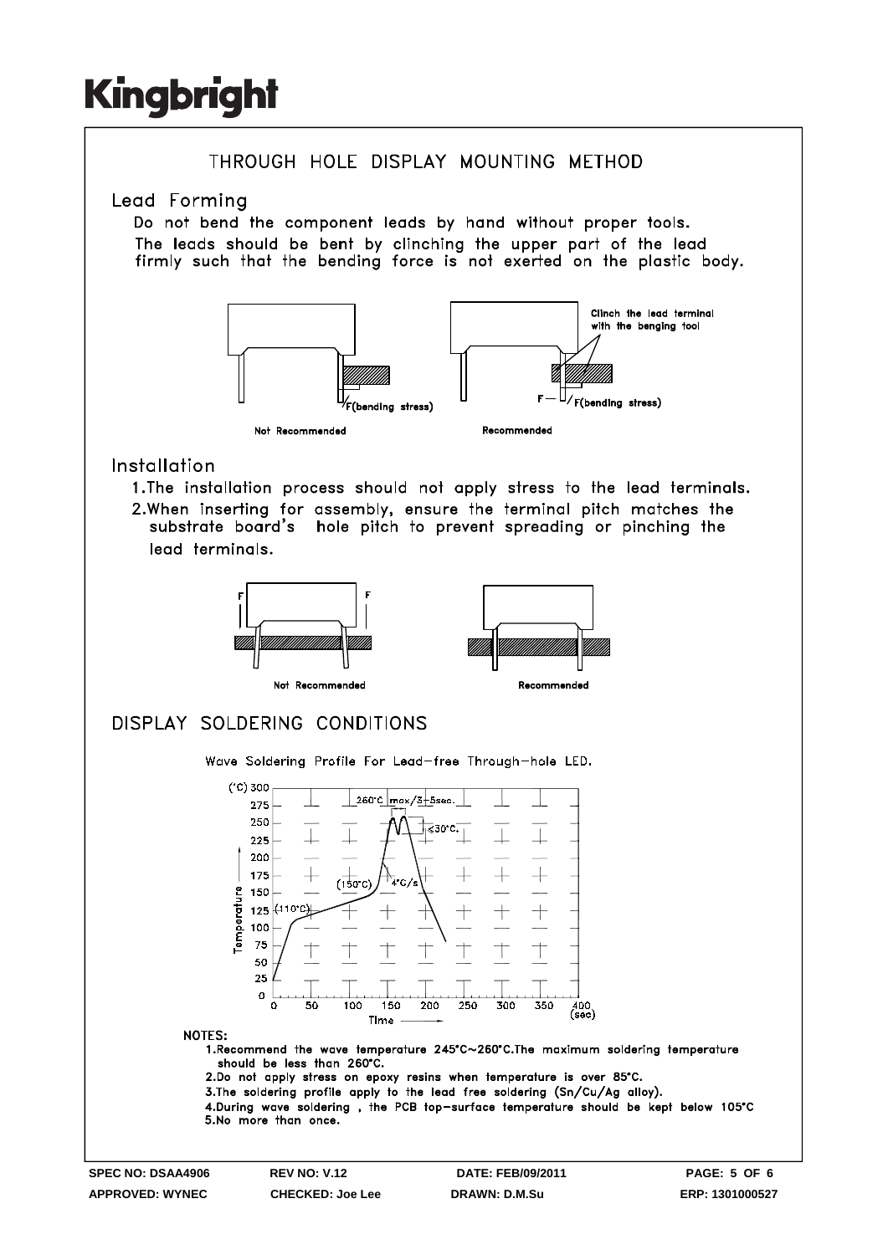